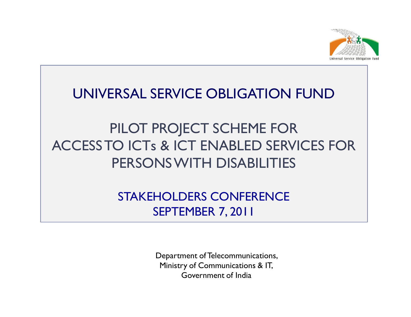

#### UNIVERSAL SERVICE OBLIGATION FUND

## PILOT PROJECT SCHEME FOR ACCESS TO ICTs & ICT ENABLED SERVICES FOR PERSONS WITH DISABILITIES

STAKEHOLDERS CONFERENCESEPTEMBER 7, 2011

> Department of Telecommunications, Ministry of Communications & IT, Government of India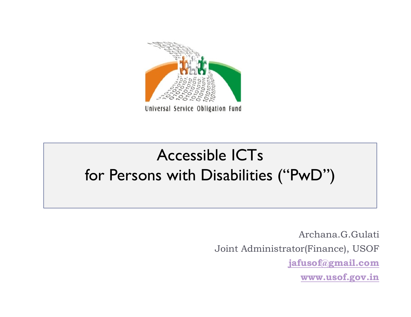

# Accessible ICTs for Persons with Disabilities ("PwD")

Archana.G.GulatiJoint Administrator(Finance), USOF **jafusof@gmail.comwww.usof.gov.in**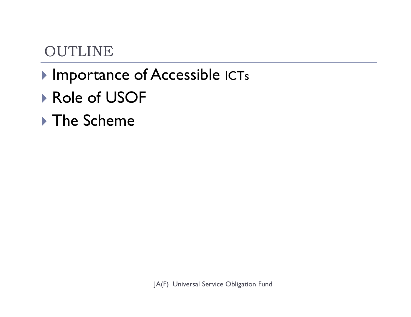## OUTLINE

- **Importance of Accessible ICTs**
- Role of USOF
- ▶ The Scheme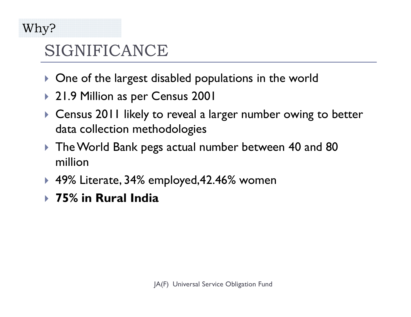### Why?

# SIGNIFICANCE

- $\blacktriangleright$ One of the largest disabled populations in the world
- 21.9 Million as per Census 2001
- Census 2011 likely to reveal a larger number owing to better data collection methodologies
- The World Bank pegs actual number between 40 and 80 million
- 49% Literate, 34% employed,42.46% women
- **75% in Rural India**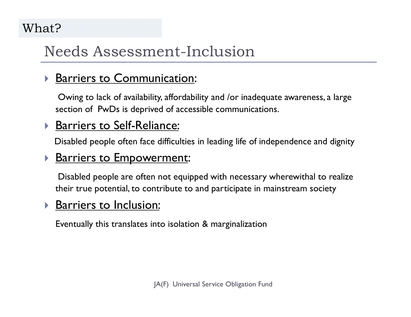#### What?

## Needs Assessment-Inclusion

#### $\blacktriangleright$ **Barriers to Communication:**

Owing to lack of availability, affordability and /or inadequate awareness, a large section of PwDs is deprived of accessible communications.

#### $\blacktriangleright$ **Barriers to Self-Reliance:**

Disabled people often face difficulties in leading life of independence and dignity

#### $\blacktriangleright$ **Barriers to Empowerment:**

Disabled people are often not equipped with necessary wherewithal to realize their true potential, to contribute to and participate in mainstream society

#### $\blacktriangleright$ Barriers to Inclusion:

Eventually this translates into isolation & marginalization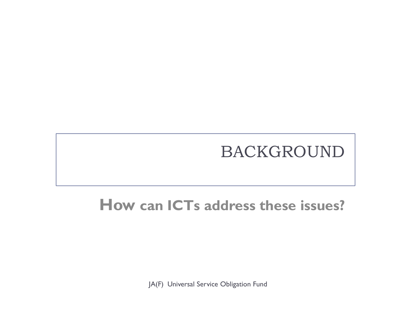# BACKGROUND

## **How can ICTs address these issues?**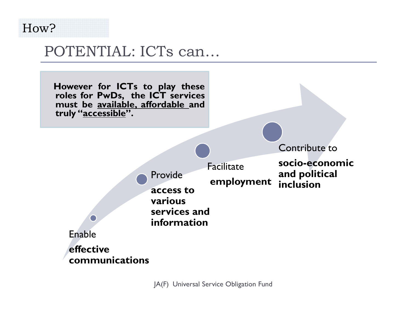

### POTENTIAL: ICTs can…



Contribute to



#### Facilitate**employment**

**socio-economic and political inclusion**



**effective communications**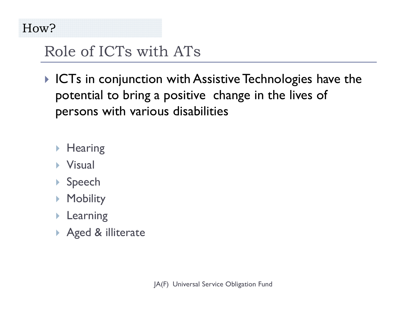## Role of ICTs with ATs

- $\blacktriangleright$  ICTs in conjunction with Assistive Technologies have the potential to bring a positive change in the lives of persons with various disabilities
	- ▶ Hearing
	- ▶ Visual
	- ▶ Speech
	- ▶ Mobility
	- Learning
	- Aged & illiterate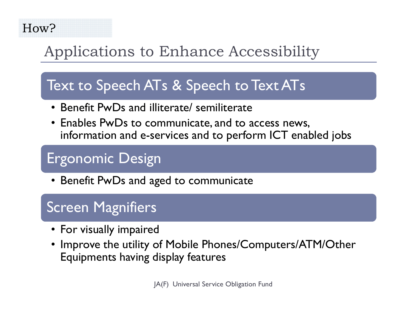#### How?

## Applications to Enhance Accessibility

## Text to Speech ATs & Speech to Text ATs

- Benefit PwDs and illiterate/ semiliterate<br>• Enables PwDs to communicate and to a
- Enables PwDs to communicate, and to access news, information and e-services and to perform ICT enabled jobs

## Ergonomic Design

• Benefit PwDs and aged to communicate

## Screen Magnifiers

- For visually impaired<br>• Improve the utility o
- Improve the utility of Mobile Phones/Computers/ATM/Other<br>Equipments having display features Equipments having display features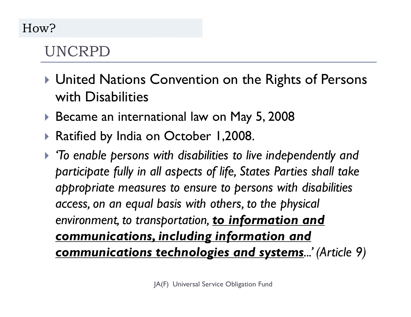#### How?

## UNCRPD

- United Nations Convention on the Rights of Persons with Disabilities
- Became an international law on May 5, 2008
- Ratified by India on October 1,2008.
- *'To enable persons with disabilities to live independently and participate fully in all aspects of life, States Parties shall take appropriate measures to ensure to persons with disabilities access, on an equal basis with others, to the physical environment, to transportation, to information and communications, including information and communications technologies and systems...' (Article 9)*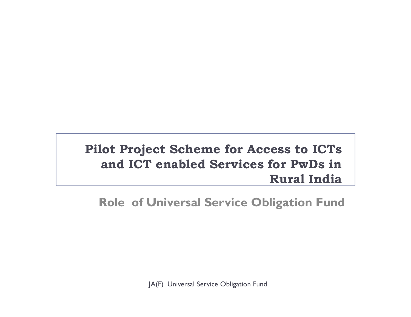#### **Pilot Project Scheme for Access to ICTs and ICT enabled Services for PwDs in Rural India**

#### **Role of Universal Service Obligation Fund**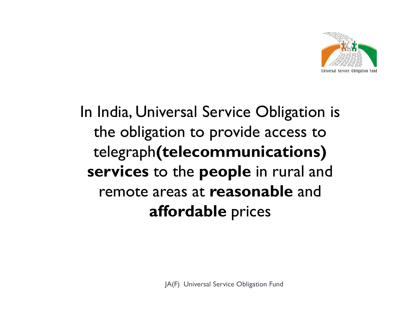

# In India, Universal Service Obligation is the obligation to provide access to telegraph**(telecommunications) services** to the **people** in rural and remote areas at **reasonable** and **affordable** prices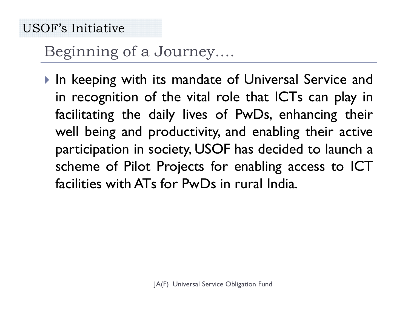## Beginning of a Journey….

In keeping with its mandate of Universal Service and<br>In recognition of the vital role that ICTs can play in in recognition of the vital role that ICTs can <sup>p</sup>lay in facilitating the daily lives of PwDs, enhancing their well being and productivity, and enabling their active participation in society, USOF has decided to launch <sup>a</sup> scheme of Pilot Projects for enabling access to ICT facilities with ATs for PwDs in rural India.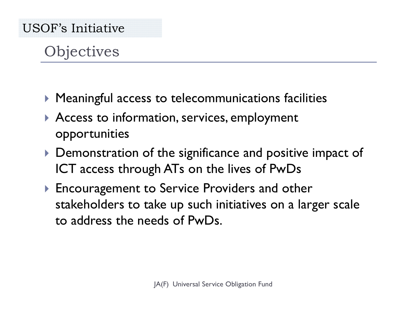## **Objectives**

- $\blacktriangleright$  Meaningful access to telecommunications facilities
- Access to information, services, employment opportunities
- Demonstration of the significance and positive impact of ICT access through ATs on the lives of PwDs
- Encouragement to Service Providers and other stakeholders to take up such initiatives on a larger scaleto address the needs of PwDs.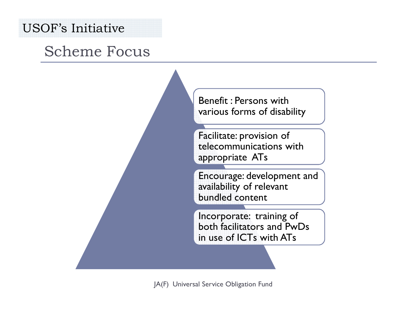## Scheme Focus

Benefit : Persons with various forms of disability

Facilitate: provision of telecommunications with appropriate ATs

Encourage: development and availability of relevant bundled content

Incorporate: training of both facilitators and PwDs in use of ICTs with ATs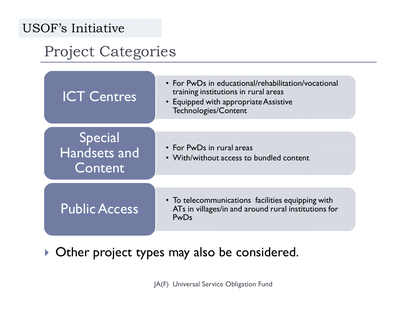## Project Categories

| <b>ICT Centres</b>                 | • For PwDs in educational/rehabilitation/vocational<br>training institutions in rural areas<br>• Equipped with appropriate Assistive<br>Technologies/Content |
|------------------------------------|--------------------------------------------------------------------------------------------------------------------------------------------------------------|
| Special<br>Handsets and<br>Content | • For PwDs in rural areas<br>• With/without access to bundled content                                                                                        |
| <b>Public Access</b>               | • To telecommunications facilities equipping with<br>ATs in villages/in and around rural institutions for<br><b>PwDs</b>                                     |

 $\blacktriangleright$  Other project types may also be considered.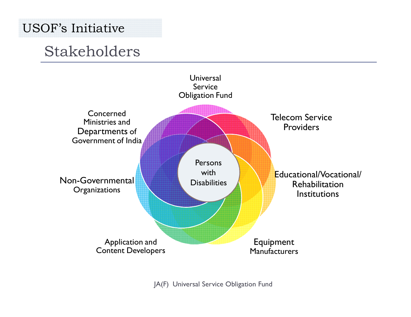## Stakeholders

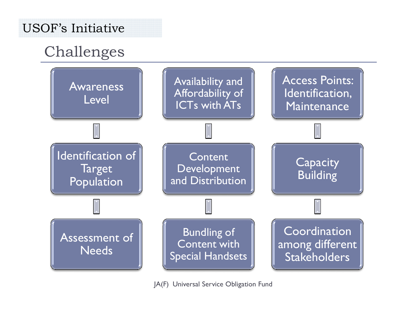## Challenges

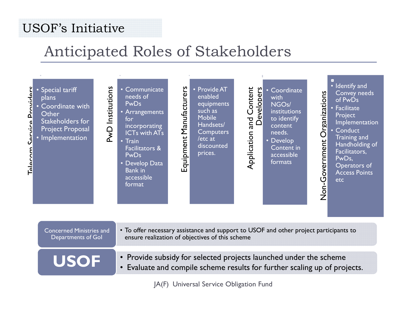## Anticipated Roles of Stakeholders



| <b>Concerned Ministries and</b><br>Departments of Gol | • To offer necessary assistance and support to USOF and other project participants to<br>ensure realization of objectives of this scheme       |
|-------------------------------------------------------|------------------------------------------------------------------------------------------------------------------------------------------------|
| <b>USOF</b>                                           | • Provide subsidy for selected projects launched under the scheme<br>• Evaluate and compile scheme results for further scaling up of projects. |
| JA(F) Universal Service Obligation Fund               |                                                                                                                                                |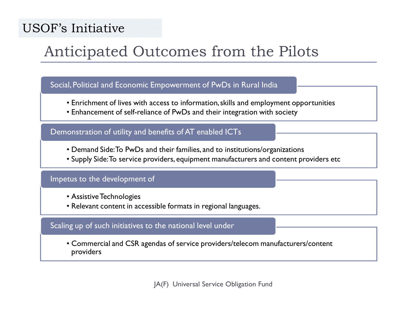## Anticipated Outcomes from the Pilots

#### Social, Political and Economic Empowerment of PwDs in Rural India

- Enrichment of lives with access to information, skills and employment opportunities<br>• Enhancement of self-reliance of PwDs and their integration with society
- Enhancement of self-reliance of PwDs and their integration with society

#### Demonstration of utility and benefits of AT enabled ICTs

- Demand Side:To PwDs and their families, and to institutions/organizations<br>• Supply Side:To service providers, equipment manufacturers and content pi
- Supply Side: To service providers, equipment manufacturers and content providers etc

#### Impetus to the development of

- Assistive Technologies<br>• Relevant content in ac
- Relevant content in accessible formats in regional languages.

#### Scaling up of such initiatives to the national level under

• Commercial and CSR agendas of service providers/telecom manufacturers/content providers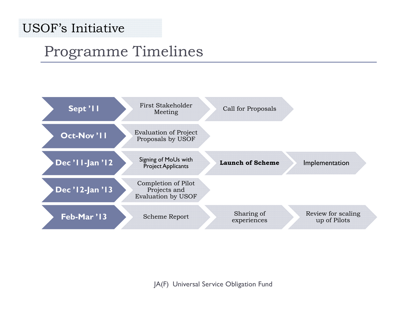## Programme Timelines

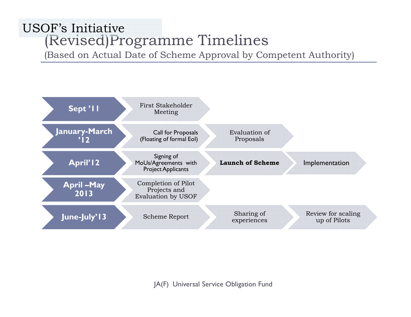### (Revised)Programme Timelines USOF's Initiative

(Based on Actual Date of Scheme Approval by Competent Authority)